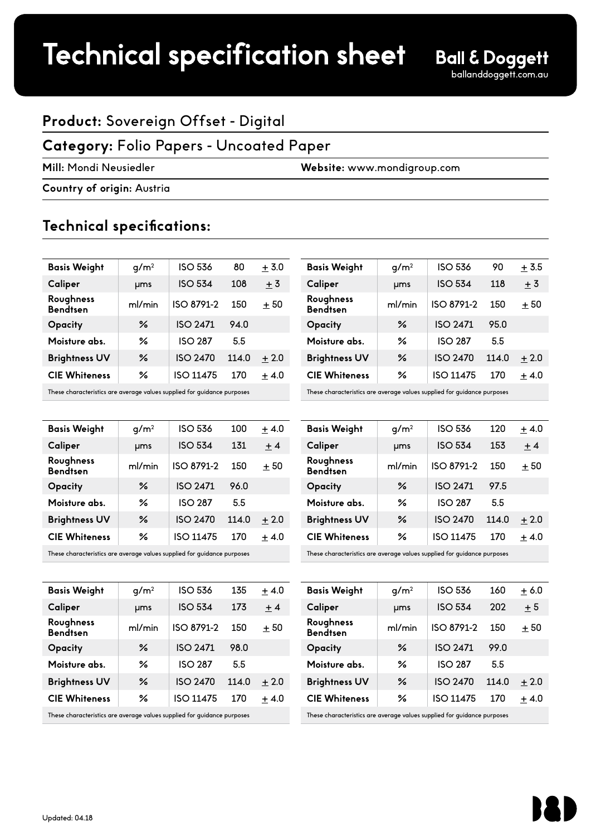## Technical specification sheet

## **Product:** Sovereign Offset - Digital

### **Category:** Folio Papers - Uncoated Paper

**Mill:** Mondi Neusiedler **Website:** www.mondigroup.com

**Country of origin:** Austria

## **Technical specifications:**

| <b>Basis Weight</b>          | q/m <sup>2</sup> | <b>ISO 536</b>   | 80    | $+3.0$ |
|------------------------------|------------------|------------------|-------|--------|
| Caliper                      | <b>µms</b>       | <b>ISO 534</b>   | 108   | $+3$   |
| Roughness<br><b>Bendtsen</b> | ml/min           | ISO 8791-2       | 150   | $+50$  |
| Opacity                      | ℅                | <b>ISO 2471</b>  | 94.0  |        |
| Moisture abs.                | ℅                | <b>ISO 287</b>   | 5.5   |        |
| <b>Brightness UV</b>         | ℅                | <b>ISO 2470</b>  | 114.0 | $+2.0$ |
| <b>CIE Whiteness</b>         | ℅                | <b>ISO 11475</b> | 170   | $+4.0$ |
|                              |                  |                  |       |        |

These characteristics are average values supplied for guidance purposes

| <b>Basis Weight</b>          | q/m <sup>2</sup> | <b>ISO 536</b>   | 100   | $+4.0$ |
|------------------------------|------------------|------------------|-------|--------|
| Caliper                      | <b>µms</b>       | <b>ISO 534</b>   | 131   | $+4$   |
| Roughness<br><b>Bendtsen</b> | ml/min           | ISO 8791-2       | 150   | $+50$  |
| Opacity                      | ℅                | <b>ISO 2471</b>  | 96.0  |        |
| Moisture abs.                | ℅                | <b>ISO 287</b>   | 5.5   |        |
| <b>Brightness UV</b>         | ℅                | <b>ISO 2470</b>  | 114.0 | $+2.0$ |
| <b>CIE Whiteness</b>         | ℅                | <b>ISO 11475</b> | 170   | $+4.0$ |
|                              |                  |                  |       |        |

These characteristics are average values supplied for guidance purposes

| <b>Basis Weight</b>          | $q/m^2$    | <b>ISO 536</b>   | 135   | $+4.0$ |
|------------------------------|------------|------------------|-------|--------|
| Caliper                      | <b>µms</b> | <b>ISO 534</b>   | 173   | $+4$   |
| Roughness<br><b>Bendtsen</b> | ml/min     | ISO 8791-2       | 150   | $+50$  |
| Opacity                      | ℅          | <b>ISO 2471</b>  | 98.0  |        |
| Moisture abs.                | ℅          | <b>ISO 287</b>   | 5.5   |        |
| <b>Brightness UV</b>         | ℅          | <b>ISO 2470</b>  | 114.0 | $+2.0$ |
| <b>CIE Whiteness</b>         | ℅          | <b>ISO 11475</b> | 170   | $+4.0$ |
|                              |            |                  |       |        |

These characteristics are average values supplied for guidance purposes

| <b>Basis Weight</b>          | g/m <sup>2</sup> | <b>ISO 536</b>  | 90    | $+3.5$ |
|------------------------------|------------------|-----------------|-------|--------|
| Caliper                      | µms              | <b>ISO 534</b>  | 118   | $+3$   |
| Roughness<br><b>Bendtsen</b> | ml/min           | ISO 8791-2      | 150   | $+50$  |
| Opacity                      | ℅                | <b>ISO 2471</b> | 95.0  |        |
| Moisture abs.                | ℅                | <b>ISO 287</b>  | 55    |        |
| <b>Brightness UV</b>         | ℅                | <b>ISO 2470</b> | 114.0 | $+2.0$ |
| <b>CIE Whiteness</b>         | ℅                | ISO 11475       | 170   | $+4.0$ |
|                              |                  |                 |       |        |

These characteristics are average values supplied for guidance purposes

| <b>Basis Weight</b>          | q/m <sup>2</sup> | <b>ISO 536</b>   | 120   | $+4.0$ |
|------------------------------|------------------|------------------|-------|--------|
| Caliper                      | ums              | <b>ISO 534</b>   | 153   | $+4$   |
| Roughness<br><b>Bendtsen</b> | ml/min           | ISO 8791-2       | 150   | $+50$  |
| Opacity                      | ℅                | <b>ISO 2471</b>  | 97.5  |        |
| Moisture abs.                | ℅                | <b>ISO 287</b>   | 55    |        |
| <b>Brightness UV</b>         | ℅                | <b>ISO 2470</b>  | 114.0 | $+2.0$ |
| <b>CIE Whiteness</b>         | ℅                | <b>ISO 11475</b> | 170   | $+4.0$ |
|                              |                  |                  |       |        |

These characteristics are average values supplied for guidance purposes

| <b>Basis Weight</b>          | q/m <sup>2</sup> | <b>ISO 536</b>  | 160   | ± 6.0  |
|------------------------------|------------------|-----------------|-------|--------|
| Caliper                      | <b>µms</b>       | <b>ISO 534</b>  | 202   | $+5$   |
| Roughness<br><b>Bendtsen</b> | ml/min           | ISO 8791-2      | 150   | $+50$  |
| Opacity                      | ℅                | <b>ISO 2471</b> | 99.0  |        |
| Moisture abs.                | ℅                | <b>ISO 287</b>  | 5.5   |        |
| <b>Brightness UV</b>         | ℅                | <b>ISO 2470</b> | 114.0 | $+2.0$ |
| <b>CIE Whiteness</b>         | ℅                | ISO 11475       | 170   | $+4.0$ |
|                              |                  |                 |       |        |

These characteristics are average values supplied for guidance purposes